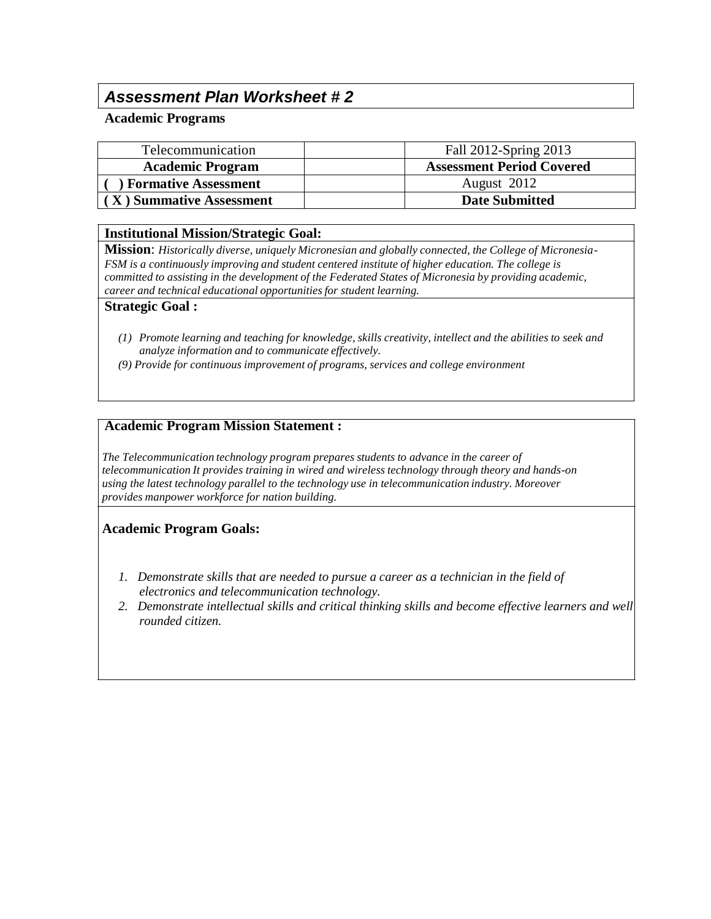# *Assessment Plan Worksheet # 2*

#### **Academic Programs**

| Telecommunication           | Fall 2012-Spring 2013            |
|-----------------------------|----------------------------------|
| <b>Academic Program</b>     | <b>Assessment Period Covered</b> |
| <b>Formative Assessment</b> | August 2012                      |
| (X) Summative Assessment    | <b>Date Submitted</b>            |

#### **Institutional Mission/Strategic Goal:**

**Mission**: *Historically diverse, uniquely Micronesian and globally connected, the College of Micronesia-FSM is a continuously improving and student centered institute of higher education. The college is committed to assisting in the development of the Federated States of Micronesia by providing academic, career and technical educational opportunitiesfor student learning.*

#### **Strategic Goal :**

- *(1) Promote learning and teaching for knowledge, skills creativity, intellect and the abilities to seek and analyze information and to communicate effectively.*
- *(9) Provide for continuous improvement of programs, services and college environment*

#### **Academic Program Mission Statement :**

*The Telecommunication technology program prepares students to advance in the career of telecommunication It provides training in wired and wireless technology through theory and hands-on using the latest technology parallel to the technology use in telecommunication industry. Moreover provides manpower workforce for nation building.*

#### **Academic Program Goals:**

- *1. Demonstrate skills that are needed to pursue a career as a technician in the field of electronics and telecommunication technology.*
- *2. Demonstrate intellectual skills and critical thinking skills and become effective learners and well rounded citizen.*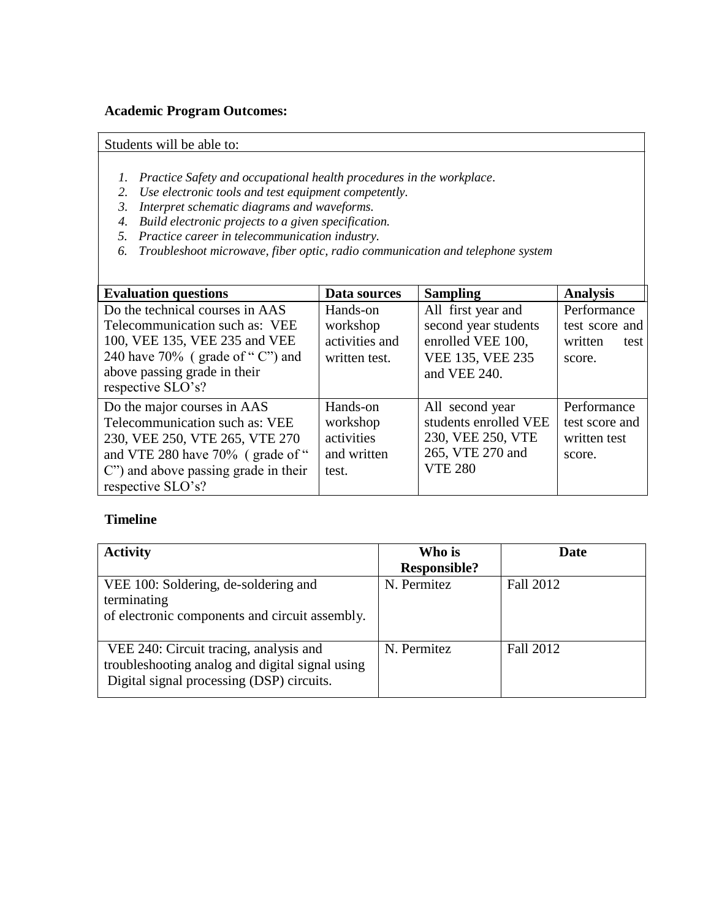### **Academic Program Outcomes:**

Students will be able to:

- *1. Practice Safety and occupational health procedures in the workplace.*
- *2. Use electronic tools and test equipment competently.*
- *3. Interpret schematic diagrams and waveforms.*
- *4. Build electronic projects to a given specification.*
- *5. Practice career in telecommunication industry.*
- *6. Troubleshoot microwave, fiber optic, radio communication and telephone system*

| <b>Evaluation questions</b>                                                                                                                                                                     | Data sources                                               | <b>Sampling</b>                                                                                     | <b>Analysis</b>                                            |
|-------------------------------------------------------------------------------------------------------------------------------------------------------------------------------------------------|------------------------------------------------------------|-----------------------------------------------------------------------------------------------------|------------------------------------------------------------|
| Do the technical courses in AAS<br>Telecommunication such as: VEE<br>100, VEE 135, VEE 235 and VEE<br>240 have $70\%$ (grade of "C") and<br>above passing grade in their<br>respective SLO's?   | Hands-on<br>workshop<br>activities and<br>written test.    | All first year and<br>second year students<br>enrolled VEE 100,<br>VEE 135, VEE 235<br>and VEE 240. | Performance<br>test score and<br>written<br>test<br>score. |
| Do the major courses in AAS<br>Telecommunication such as: VEE<br>230, VEE 250, VTE 265, VTE 270<br>and VTE 280 have 70% (grade of "<br>C" and above passing grade in their<br>respective SLO's? | Hands-on<br>workshop<br>activities<br>and written<br>test. | All second year<br>students enrolled VEE<br>230, VEE 250, VTE<br>265, VTE 270 and<br><b>VTE 280</b> | Performance<br>test score and<br>written test<br>score.    |

#### **Timeline**

| <b>Activity</b>                                                                                                                        | Who is<br><b>Responsible?</b> | Date      |
|----------------------------------------------------------------------------------------------------------------------------------------|-------------------------------|-----------|
| VEE 100: Soldering, de-soldering and<br>terminating<br>of electronic components and circuit assembly.                                  | N. Permitez                   | Fall 2012 |
| VEE 240: Circuit tracing, analysis and<br>troubleshooting analog and digital signal using<br>Digital signal processing (DSP) circuits. | N. Permitez                   | Fall 2012 |